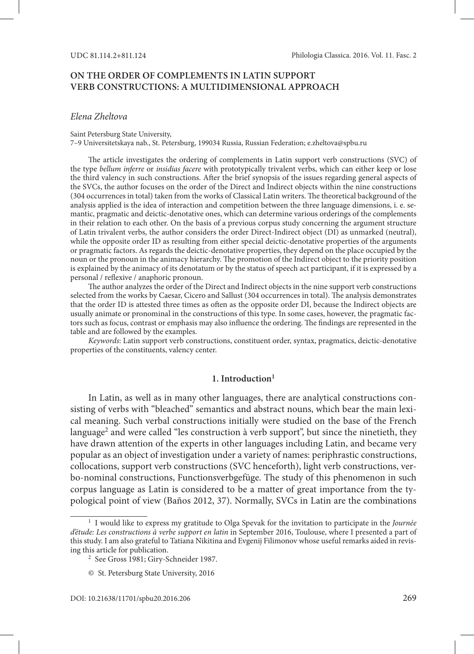# **ON THE ORDER OF COMPLEMENTS IN LATIN SUPPORT VERB CONSTRUCTIONS: A MULTIDIMENSIONAL APPROACH**

### *Elena Zheltova*

#### Saint Petersburg State University,

7–9 Universitetskaya nab., St. Petersburg, 199034 Russia, Russian Federation; e.zheltova@spbu.ru

The article investigates the ordering of complements in Latin support verb constructions (SVC) of the type *bellum inferre* or *insidias facere* with prototypically trivalent verbs, which can either keep or lose the third valency in such constructions. After the brief synopsis of the issues regarding general aspects of the SVCs, the author focuses on the order of the Direct and Indirect objects within the nine constructions (304 occurrences in total) taken from the works of Classical Latin writers. The theoretical background of the analysis applied is the idea of interaction and competition between the three language dimensions, i. e. semantic, pragmatic and deictic-denotative ones, which can determine various orderings of the complements in their relation to each other. On the basis of a previous corpus study concerning the argument structure of Latin trivalent verbs, the author considers the order Direct-Indirect object (DI) as unmarked (neutral), while the opposite order ID as resulting from either special deictic-denotative properties of the arguments or pragmatic factors. As regards the deictic-denotative properties, they depend on the place occupied by the noun or the pronoun in the animacy hierarchy. The promotion of the Indirect object to the priority position is explained by the animacy of its denotatum or by the status of speech act participant, if it is expressed by a personal / reflexive / anaphoric pronoun.

The author analyzes the order of the Direct and Indirect objects in the nine support verb constructions selected from the works by Caesar, Cicero and Sallust (304 occurrences in total). The analysis demonstrates that the order ID is attested three times as often as the opposite order DI, because the Indirect objects are usually animate or pronominal in the constructions of this type. In some cases, however, the pragmatic factors such as focus, contrast or emphasis may also influence the ordering. The findings are represented in the table and are followed by the examples.

*Keywords*: Latin support verb constructions, constituent order, syntax, pragmatics, deictic-denotative properties of the constituents, valency center.

#### **1. Introduction1**

In Latin, as well as in many other languages, there are analytical constructions consisting of verbs with "bleached" semantics and abstract nouns, which bear the main lexical meaning. Such verbal constructions initially were studied on the base of the French language<sup>2</sup> and were called "les construction à verb support", but since the ninetieth, they have drawn attention of the experts in other languages including Latin, and became very popular as an object of investigation under a variety of names: periphrastic constructions, collocations, support verb constructions (SVC henceforth), light verb constructions, verbo-nominal constructions, Functionsverbgefüge. The study of this phenomenon in such corpus language as Latin is considered to be a matter of great importance from the typological point of view (Baños 2012, 37). Normally, SVCs in Latin are the combinations

<sup>1</sup> I would like to express my gratitude to Olga Spevak for the invitation to participate in the *Journée d'étude: Les constructions à verbe support en latin* in September 2016, Toulouse, where I presented a part of this study. I am also grateful to Tatiana Nikitina and Evgenij Filimonov whose useful remarks aided in revising this article for publication. 2 See Gross 1981; Giry-Schneider 1987.

<sup>©</sup> St. Petersburg State University, 2016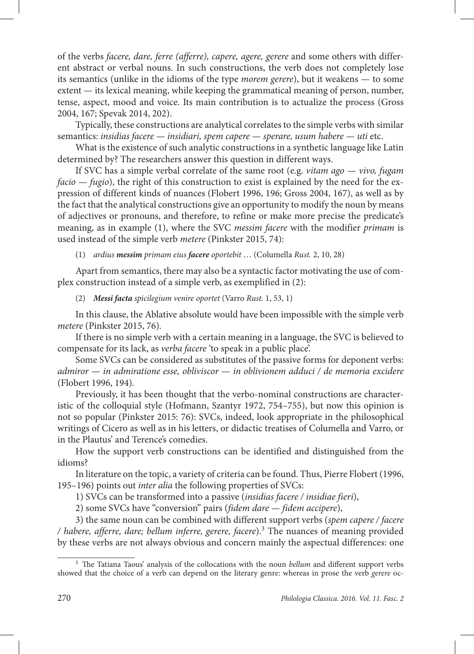of the verbs *facere, dare, ferre (afferre), capere, agere, gerere* and some others with different abstract or verbal nouns. In such constructions, the verb does not completely lose its semantics (unlike in the idioms of the type *morem gerere*), but it weakens — to some extent — its lexical meaning, while keeping the grammatical meaning of person, number, tense, aspect, mood and voice. Its main contribution is to actualize the process (Gross 2004, 167; Spevak 2014, 202).

Typically, these constructions are analytical correlates to the simple verbs with similar semantics: *insidias facere — insidiari, spem capere — sperare, usum habere — uti* etc.

What is the existence of such analytic constructions in a synthetic language like Latin determined by? The researchers answer this question in different ways.

If SVC has a simple verbal correlate of the same root (e.g. *vitam ago — vivo, fugam facio — fugio*), the right of this construction to exist is explained by the need for the expression of different kinds of nuances (Flobert 1996, 196; Gross 2004, 167), as well as by the fact that the analytical constructions give an opportunity to modify the noun by means of adjectives or pronouns, and therefore, to refine or make more precise the predicate's meaning, as in example (1), where the SVC *messim facere* with the modifier *primam* is used instead of the simple verb *metere* (Pinkster 2015, 74):

(1) *ardius messim primam eius facere oportebit* … (Columella *Rust.* 2, 10, 28)

Apart from semantics, there may also be a syntactic factor motivating the use of complex construction instead of a simple verb, as exemplified in (2):

(2) *Messi facta spicilegium venire oportet* (Varro *Rust.* 1, 53, 1)

In this clause, the Ablative absolute would have been impossible with the simple verb *metere* (Pinkster 2015, 76)*.*

If there is no simple verb with a certain meaning in a language, the SVC is believed to compensate for its lack, as *verba facere* 'to speak in a public place'.

Some SVCs can be considered as substitutes of the passive forms for deponent verbs: *admiror — in admiratione esse, obliviscor — in oblivionem adduci / de memoria excidere*  (Flobert 1996, 194)*.* 

Previously, it has been thought that the verbo-nominal constructions are characteristic of the colloquial style (Hofmann, Szantyr 1972, 754–755), but now this opinion is not so popular (Pinkster 2015: 76): SVCs, indeed, look appropriate in the philosophical writings of Cicero as well as in his letters, or didactic treatises of Columella and Varro, or in the Plautus' and Terence's comedies.

How the support verb constructions can be identified and distinguished from the idioms?

In literature on the topic, a variety of criteria can be found. Thus, Pierre Flobert (1996, 195–196) points out *inter alia* the following properties of SVCs:

1) SVCs can be transformed into a passive (*insidias facere / insidiae fieri*),

2) some SVCs have "conversion" pairs (*fidem dare — fidem accipere*),

3) the same noun can be combined with different support verbs (*spem capere / facere / habere, afferre, dare; bellum inferre, gerere, facere*).3 The nuances of meaning provided by these verbs are not always obvious and concern mainly the aspectual differences: one

<sup>3</sup> The Tatiana Taous' analysis of the collocations with the noun *bellum* and different support verbs showed that the choice of a verb can depend on the literary genre: whereas in prose the verb *gerere* oc-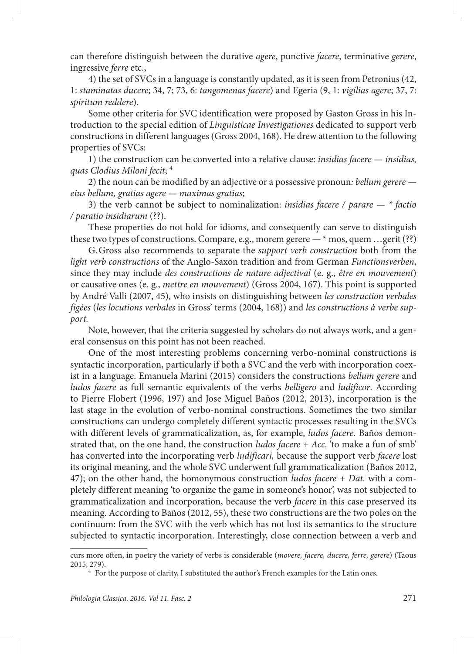can therefore distinguish between the durative *agere*, punctive *facere*, terminative *gerere*, ingressive *ferre* etc.,

4) the set of SVCs in a language is constantly updated, as it is seen from Petronius (42, 1: *staminatas ducere*; 34, 7; 73, 6: *tangomenas facere*) and Egeria (9, 1: *vigilias agere*; 37, 7: *spiritum reddere*).

Some other criteria for SVC identification were proposed by Gaston Gross in his Introduction to the special edition of *Linguisticae Investigationes* dedicated to support verb constructions in different languages (Gross 2004, 168). He drew attention to the following properties of SVCs:

1) the construction can be converted into a relative clause: *insidias facere — insidias, quas Clodius Miloni fecit*; 4

2) the noun can be modified by an adjective or a possessive pronoun*: bellum gerere eius bellum, gratias agere — maximas gratias*;

3) the verb cannot be subject to nominalization: *insidias facere / parare — \* factio / paratio insidiarum* (??).

These properties do not hold for idioms, and consequently can serve to distinguish these two types of constructions. Compare, e.g., morem gerere — \* mos, quem …gerit (??)

G.Gross also recommends to separate the *support verb construction* both from the *light verb constructions* of the Anglo-Saxon tradition and from German *Functionsverben*, since they may include *des constructions de nature adjectival* (e. g., *être en mouvement*) or causative ones (e. g., *mettre en mouvement*) (Gross 2004, 167). This point is supported by André Valli (2007, 45), who insists on distinguishing between *les construction verbales figées* (*les locutions verbales* in Gross' terms (2004, 168)) and *les constructions à verbe support.* 

Note, however, that the criteria suggested by scholars do not always work, and a general consensus on this point has not been reached.

One of the most interesting problems concerning verbo-nominal constructions is syntactic incorporation, particularly if both a SVC and the verb with incorporation coexist in a language. Emanuela Marini (2015) considers the constructions *bellum gerere* and *ludos facere* as full semantic equivalents of the verbs *belligero* and *ludificor*. According to Pierre Flobert (1996, 197) and Jose Miguel Baños (2012, 2013), incorporation is the last stage in the evolution of verbo-nominal constructions. Sometimes the two similar constructions can undergo completely different syntactic processes resulting in the SVCs with different levels of grammaticalization, as, for example, *ludos facere.* Baños demonstrated that, on the one hand, the construction *ludos facere + Acc*. 'to make a fun of smb' has converted into the incorporating verb *ludificari,* because the support verb *facere* lost its original meaning, and the whole SVC underwent full grammaticalization (Baños 2012, 47); on the other hand, the homonymous construction *ludos facere + Dat.* with a completely different meaning 'to organize the game in someone's honor', was not subjected to grammaticalization and incorporation, because the verb *facere* in this case preserved its meaning. According to Baños (2012, 55), these two constructions are the two poles on the continuum: from the SVC with the verb which has not lost its semantics to the structure subjected to syntactic incorporation. Interestingly, close connection between a verb and

curs more often, in poetry the variety of verbs is considerable (*movere, facere, ducere, ferre, gerere*) (Taous 2015, 279). 4 For the purpose of clarity, I substituted the author's French examples for the Latin ones.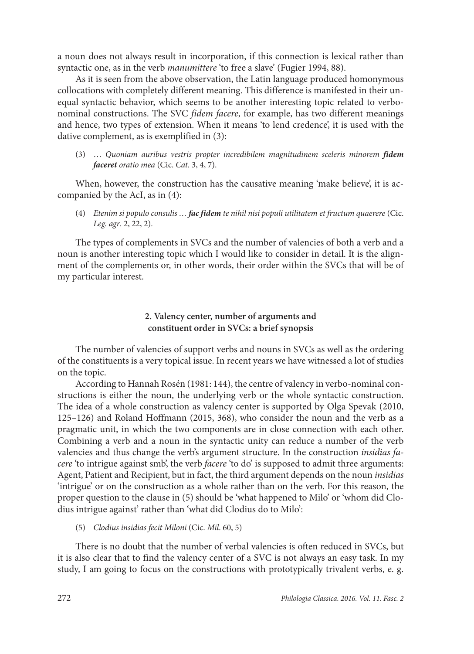a noun does not always result in incorporation, if this connection is lexical rather than syntactic one, as in the verb *manumittere* 'to free a slave' (Fugier 1994, 88).

As it is seen from the above observation, the Latin language produced homonymous collocations with completely different meaning. This difference is manifested in their unequal syntactic behavior, which seems to be another interesting topic related to verbonominal constructions. The SVC *fidem facere*, for example, has two different meanings and hence, two types of extension. When it means 'to lend credence', it is used with the dative complement, as is exemplified in (3):

(3) … *Quoniam auribus vestris propter incredibilem magnitudinem sceleris minorem fidem faceret oratio mea* (Cic. *Cat*. 3, 4, 7).

When, however, the construction has the causative meaning 'make believe', it is accompanied by the AcI, as in (4):

(4) *Etenim si populo consulis … fac fidem te nihil nisi populi utilitatem et fructum quaerere* (Cic. *Leg. agr*. 2, 22, 2).

The types of complements in SVCs and the number of valencies of both a verb and a noun is another interesting topic which I would like to consider in detail. It is the alignment of the complements or, in other words, their order within the SVCs that will be of my particular interest.

# **2. Valency center, number of arguments and constituent order in SVCs: a brief synopsis**

The number of valencies of support verbs and nouns in SVCs as well as the ordering of the constituents is a very topical issue. In recent years we have witnessed a lot of studies on the topic.

According to Hannah Rosén (1981: 144), the centre of valency in verbo-nominal constructions is either the noun, the underlying verb or the whole syntactic construction. The idea of a whole construction as valency center is supported by Olga Spevak (2010, 125–126) and Roland Hoffmann (2015, 368), who consider the noun and the verb as a pragmatic unit, in which the two components are in close connection with each other. Combining a verb and a noun in the syntactic unity can reduce a number of the verb valencies and thus change the verb's argument structure. In the construction *insidias facere* 'to intrigue against smb', the verb *facere* 'to do' is supposed to admit three arguments: Agent, Patient and Recipient, but in fact, the third argument depends on the noun *insidias* 'intrigue' or on the construction as a whole rather than on the verb. For this reason, the proper question to the clause in (5) should be 'what happened to Milo' or 'whom did Clodius intrigue against' rather than 'what did Clodius do to Milo':

(5) *Clodius insidias fecit Miloni* (Cic. *Mil*. 60, 5)

There is no doubt that the number of verbal valencies is often reduced in SVCs, but it is also clear that to find the valency center of a SVC is not always an easy task. In my study, I am going to focus on the constructions with prototypically trivalent verbs, e. g.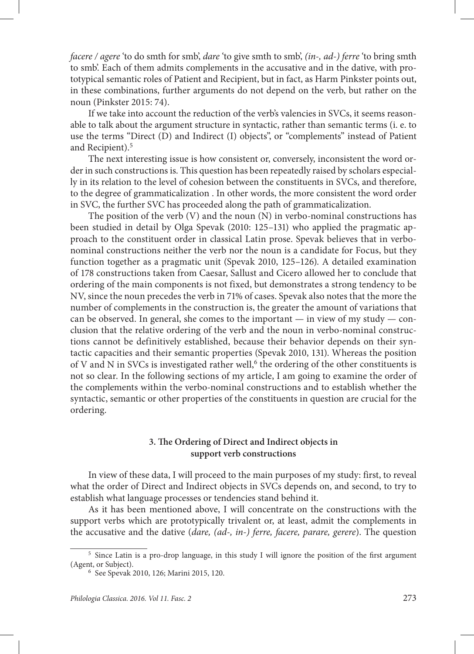*facere / agere* 'to do smth for smb', *dare* 'to give smth to smb', *(in-, ad-) ferre* 'to bring smth to smb'. Each of them admits complements in the accusative and in the dative, with prototypical semantic roles of Patient and Recipient, but in fact, as Harm Pinkster points out, in these combinations, further arguments do not depend on the verb, but rather on the noun (Pinkster 2015: 74).

If we take into account the reduction of the verb's valencies in SVCs, it seems reasonable to talk about the argument structure in syntactic, rather than semantic terms (i. e. to use the terms "Direct (D) and Indirect (I) objects", or "complements" instead of Patient and Recipient).<sup>5</sup>

The next interesting issue is how consistent or, conversely, inconsistent the word order in such constructions is. This question has been repeatedly raised by scholars especially in its relation to the level of cohesion between the constituents in SVCs, and therefore, to the degree of grammaticalization . In other words, the more consistent the word order in SVC, the further SVC has proceeded along the path of grammaticalization.

The position of the verb  $(V)$  and the noun  $(N)$  in verbo-nominal constructions has been studied in detail by Olga Spevak (2010: 125–131) who applied the pragmatic approach to the constituent order in classical Latin prose. Spevak believes that in verbonominal constructions neither the verb nor the noun is a candidate for Focus, but they function together as a pragmatic unit (Spevak 2010, 125–126). A detailed examination of 178 constructions taken from Caesar, Sallust and Cicero allowed her to conclude that ordering of the main components is not fixed, but demonstrates a strong tendency to be NV, since the noun precedes the verb in 71% of cases. Spevak also notes that the more the number of complements in the construction is, the greater the amount of variations that can be observed. In general, she comes to the important  $-$  in view of my study  $-$  conclusion that the relative ordering of the verb and the noun in verbo-nominal constructions cannot be definitively established, because their behavior depends on their syntactic capacities and their semantic properties (Spevak 2010, 131). Whereas the position of V and N in SVCs is investigated rather well, $^6$  the ordering of the other constituents is not so clear. In the following sections of my article, I am going to examine the order of the complements within the verbo-nominal constructions and to establish whether the syntactic, semantic or other properties of the constituents in question are crucial for the ordering.

# **3. The Ordering of Direct and Indirect objects in support verb constructions**

In view of these data, I will proceed to the main purposes of my study: first, to reveal what the order of Direct and Indirect objects in SVCs depends on, and second, to try to establish what language processes or tendencies stand behind it.

As it has been mentioned above, I will concentrate on the constructions with the support verbs which are prototypically trivalent or, at least, admit the complements in the accusative and the dative (*dare, (ad-, in-) ferre, facere, parare, gerere*). The question

<sup>5</sup> Since Latin is a pro-drop language, in this study I will ignore the position of the first argument (Agent, or Subject).

<sup>6</sup> See Spevak 2010, 126; Marini 2015, 120.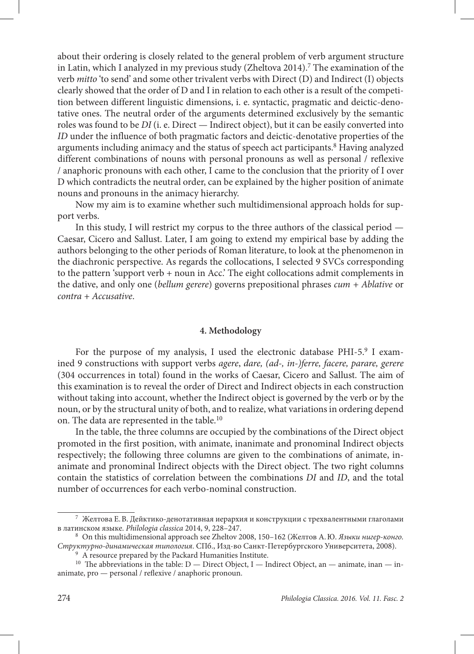about their ordering is closely related to the general problem of verb argument structure in Latin, which I analyzed in my previous study (Zheltova 2014).<sup>7</sup> The examination of the verb *mitto* 'to send' and some other trivalent verbs with Direct (D) and Indirect (I) objects clearly showed that the order of D and I in relation to each other is a result of the competition between different linguistic dimensions, i. e. syntactic, pragmatic and deictic-denotative ones. The neutral order of the arguments determined exclusively by the semantic roles was found to be *DI* (i. e. Direct — Indirect object), but it can be easily converted into *ID* under the influence of both pragmatic factors and deictic-denotative properties of the arguments including animacy and the status of speech act participants.<sup>8</sup> Having analyzed different combinations of nouns with personal pronouns as well as personal / reflexive / anaphoric pronouns with each other, I came to the conclusion that the priority of I over D which contradicts the neutral order, can be explained by the higher position of animate nouns and pronouns in the animacy hierarchy.

Now my aim is to examine whether such multidimensional approach holds for support verbs.

In this study, I will restrict my corpus to the three authors of the classical period — Caesar, Cicero and Sallust. Later, I am going to extend my empirical base by adding the authors belonging to the other periods of Roman literature, to look at the phenomenon in the diachronic perspective. As regards the collocations, I selected 9 SVCs corresponding to the pattern 'support verb + noun in Acc.' The eight collocations admit complements in the dative, and only one (*bellum gerere*) governs prepositional phrases *cum + Ablative* or *contra + Accusative*.

#### **4. Methodology**

For the purpose of my analysis, I used the electronic database PHI-5.9 I examined 9 constructions with support verbs *agere*, *dare, (ad-, in-)ferre, facere, parare, gerere* (304 occurrences in total) found in the works of Caesar, Cicero and Sallust. The aim of this examination is to reveal the order of Direct and Indirect objects in each construction without taking into account, whether the Indirect object is governed by the verb or by the noun, or by the structural unity of both, and to realize, what variations in ordering depend on. The data are represented in the table.10

In the table, the three columns are occupied by the combinations of the Direct object promoted in the first position, with animate, inanimate and pronominal Indirect objects respectively; the following three columns are given to the combinations of animate, inanimate and pronominal Indirect objects with the Direct object. The two right columns contain the statistics of correlation between the combinations *DI* and *ID*, and the total number of occurrences for each verbo-nominal construction.

<sup>7</sup> Желтова Е.В. Дейктико-денотативная иерархия и конструкции с трехвалентными глаголами в латинском языке. *Philologia classica* 2014, 9, 228–247.

<sup>8</sup> On this multidimensional approach see Zheltov 2008, 150–162 (Желтов А.Ю. *Языки нигер-конго.*  Структурно-динамическая типология. СПб., Изд-во Санкт-Петербургского Университета, 2008).<br><sup>9</sup> A resource prepared by the Packard Humanities Institute.<br><sup>10</sup> The abbreviations in the table: D — Direct Object, I — Indirect

animate, pro — personal / reflexive / anaphoric pronoun.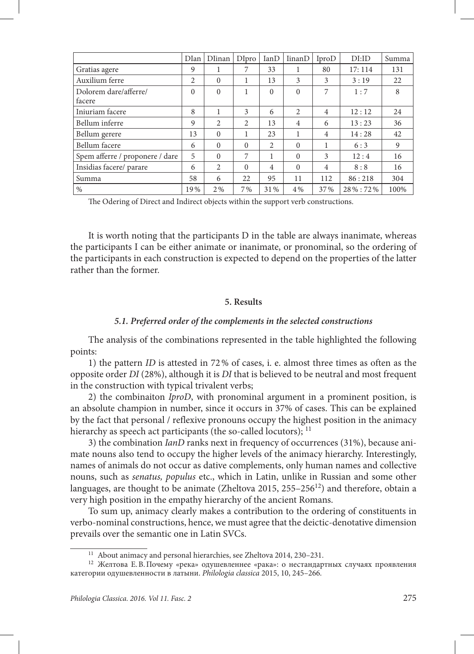|                                 | DIan           | Dlinan   | DIpro    | IanD           | <b>IinanD</b>  | IproD          | DI:ID   | Summa |
|---------------------------------|----------------|----------|----------|----------------|----------------|----------------|---------|-------|
| Gratias agere                   | 9              |          |          | 33             |                | 80             | 17:114  | 131   |
| Auxilium ferre                  | $\overline{c}$ | $\Omega$ | 1        | 13             | 3              | 3              | 3:19    | 22    |
| Dolorem dare/afferre/<br>facere | $\Omega$       | $\Omega$ | 1        | $\Omega$       | $\Omega$       | 7              | 1:7     | 8     |
| Injuriam facere                 | 8              |          | 3        | 6              | $\overline{2}$ | $\overline{4}$ | 12:12   | 24    |
| Bellum inferre                  | 9              | 2        | 2        | 13             | $\overline{4}$ | 6              | 13:23   | 36    |
| Bellum gerere                   | 13             | $\Omega$ | 1        | 23             | 1              | $\overline{4}$ | 14:28   | 42    |
| Bellum facere                   | 6              | $\Omega$ | $\Omega$ | $\overline{2}$ | $\Omega$       | 1              | 6:3     | 9     |
| Spem afferre / proponere / dare | 5              | $\Omega$ | 7        | 1              | $\Omega$       | 3              | 12:4    | 16    |
| Insidias facere/ parare         | 6              | 2        | $\Omega$ | $\overline{4}$ | $\Omega$       | $\overline{4}$ | 8:8     | 16    |
| Summa                           | 58             | 6        | 22       | 95             | 11             | 112            | 86:218  | 304   |
| $\frac{0}{0}$                   | 19%            | $2\%$    | 7%       | 31%            | 4 %            | 37%            | 28%:72% | 100%  |

The Odering of Direct and Indirect objects within the support verb constructions.

It is worth noting that the participants D in the table are always inanimate, whereas the participants I can be either animate or inanimate, or pronominal, so the ordering of the participants in each construction is expected to depend on the properties of the latter rather than the former.

# **5. Results**

# *5.1. Preferred order of the complements in the selected constructions*

The analysis of the combinations represented in the table highlighted the following points:

1) the pattern *ID* is attested in 72% of cases, i. e. almost three times as often as the opposite order *DI* (28%), although it is *DI* that is believed to be neutral and most frequent in the construction with typical trivalent verbs;

2) the combinaiton *IproD*, with pronominal argument in a prominent position, is an absolute champion in number, since it occurs in 37% of cases. This can be explained by the fact that personal / reflexive pronouns occupy the highest position in the animacy hierarchy as speech act participants (the so-called locutors);  $^{11}$ 

3) the combination *IanD* ranks next in frequency of occurrences (31%), because animate nouns also tend to occupy the higher levels of the animacy hierarchy. Interestingly, names of animals do not occur as dative complements, only human names and collective nouns, such as *senatus, populus* etc., which in Latin, unlike in Russian and some other languages, are thought to be animate (Zheltova 2015,  $255-256^{12}$ ) and therefore, obtain a very high position in the empathy hierarchy of the ancient Romans.

To sum up, animacy clearly makes a contribution to the ordering of constituents in verbo-nominal constructions, hence, we must agree that the deictic-denotative dimension prevails over the semantic one in Latin SVCs.

<sup>&</sup>lt;sup>11</sup> About animacy and personal hierarchies, see Zheltova 2014, 230–231.<br><sup>12</sup> Желтова Е.В.Почему «река» одушевленнее «рака»: о нестандартных случаях проявления категории одушевленности в латыни. *Philologia classica* 2015, 10, 245–266.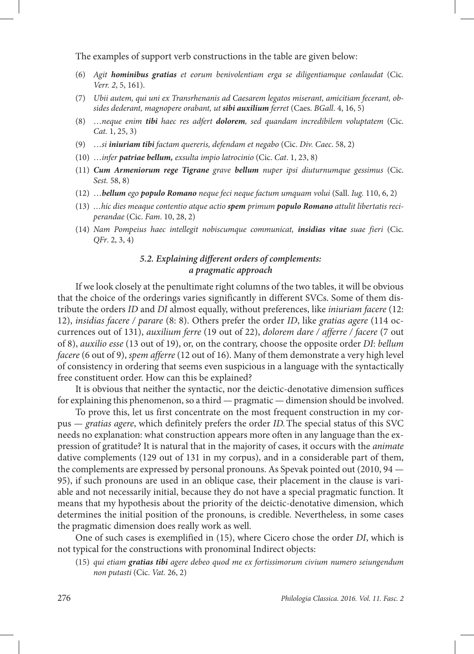The examples of support verb constructions in the table are given below:

- (6) *Agit hominibus gratias et eorum benivolentiam erga se diligentiamque conlaudat* (Cic*. Verr. 2*, 5, 161).
- (7) *Ubii autem, qui uni ex Transrhenanis ad Caesarem legatos miserant, amicitiam fecerant, obsides dederant, magnopere orabant, ut sibi auxilium ferret* (Caes. *BGall*. 4, 16, 5)
- (8) …*neque enim tibi haec res adfert dolorem, sed quandam incredibilem voluptatem* (Cic. *Cat.* 1, 25, 3)
- (9) …*si iniuriam tibi factam quereris, defendam et negabo* (Cic. *Div. Caec*. 58, 2)
- (10) …*infer patriae bellum, exsulta impio latrocinio* (Cic. *Cat*. 1, 23, 8)
- (11) *Cum Armeniorum rege Tigrane grave bellum nuper ipsi diuturnumque gessimus* (Cic. *Sest.* 58, 8)
- (12) …*bellum ego populo Romano neque feci neque factum umquam volui* (Sall. *Iug.* 110, 6, 2)
- (13) *…hic dies meaque contentio atque actio spem primum populo Romano attulit libertatis reciperandae* (Cic. *Fam*. 10, 28, 2)
- (14) *Nam Pompeius haec intellegit nobiscumque communicat, insidias vitae suae fieri* (Cic. *QFr*. 2, 3, 4)

# *5.2. Explaining different orders of complements: a pragmatic approach*

If we look closely at the penultimate right columns of the two tables, it will be obvious that the choice of the orderings varies significantly in different SVCs. Some of them distribute the orders *ID* and *DI* almost equally, without preferences, like *iniuriam facere* (12: 12), *insidias facere / parare* (8: 8). Others prefer the order *ID*, like *gratias agere* (114 occurrences out of 131), *auxilium ferre* (19 out of 22), *dolorem dare / afferre / facere* (7 out of 8), *auxilio esse* (13 out of 19), or, on the contrary, choose the opposite order *DI*: *bellum facere* (6 out of 9), *spem afferre* (12 out of 16). Many of them demonstrate a very high level of consistency in ordering that seems even suspicious in a language with the syntactically free constituent order. How can this be explained?

It is obvious that neither the syntactic, nor the deictic-denotative dimension suffices for explaining this phenomenon, so a third — pragmatic — dimension should be involved.

To prove this, let us first concentrate on the most frequent construction in my corpus — *gratias agere*, which definitely prefers the order *ID.*The special status of this SVC needs no explanation: what construction appears more often in any language than the expression of gratitude? It is natural that in the majority of cases, it occurs with the *animate* dative complements (129 out of 131 in my corpus), and in a considerable part of them, the complements are expressed by personal pronouns. As Spevak pointed out (2010, 94 — 95), if such pronouns are used in an oblique case, their placement in the clause is variable and not necessarily initial, because they do not have a special pragmatic function. It means that my hypothesis about the priority of the deictic-denotative dimension, which determines the initial position of the pronouns, is credible. Nevertheless, in some cases the pragmatic dimension does really work as well.

One of such cases is exemplified in (15), where Cicero chose the order *DI*, which is not typical for the constructions with pronominal Indirect objects:

(15) *qui etiam gratias tibi agere debeo quod me ex fortissimorum civium numero seiungendum non putasti* (Cic. *Vat.* 26, 2)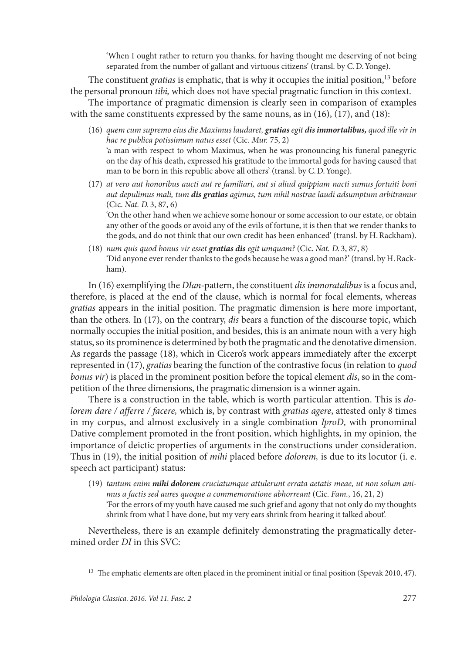'When I ought rather to return you thanks, for having thought me deserving of not being separated from the number of gallant and virtuous citizens' (transl. by C.D.Yonge).

The constituent *gratias* is emphatic, that is why it occupies the initial position,<sup>13</sup> before the personal pronoun *tibi,* which does not have special pragmatic function in this context.

The importance of pragmatic dimension is clearly seen in comparison of examples with the same constituents expressed by the same nouns, as in (16), (17), and (18):

- (16) *quem cum supremo eius die Maximus laudaret, gratias egit dis immortalibus, quod ille vir in hac re publica potissimum natus esset* (Cic. *Mur.* 75, 2) 'a man with respect to whom Maximus, when he was pronouncing his funeral panegyric on the day of his death, expressed his gratitude to the immortal gods for having caused that man to be born in this republic above all others' (transl. by C.D.Yonge).
- (17) *at vero aut honoribus aucti aut re familiari, aut si aliud quippiam nacti sumus fortuiti boni aut depulimus mali, tum dis gratias agimus, tum nihil nostrae laudi adsumptum arbitramur* (Cic. *Nat. D.* 3, 87, 6)

'On the other hand when we achieve some honour or some accession to our estate, or obtain any other of the goods or avoid any of the evils of fortune, it is then that we render thanks to the gods, and do not think that our own credit has been enhanced' (transl. by H.Rackham).

(18) *num quis quod bonus vir esset gratias dis egit umquam?* (Cic. *Nat. D.* 3, 87, 8) 'Did anyone ever render thanks to the gods because he was a good man?' (transl. by H.Rackham).

In (16) exemplifying the *DIan*-pattern, the constituent *dis immoratalibus* is a focus and, therefore, is placed at the end of the clause, which is normal for focal elements, whereas *gratias* appears in the initial position. The pragmatic dimension is here more important, than the others. In (17), on the contrary, *dis* bears a function of the discourse topic, which normally occupies the initial position, and besides, this is an animate noun with a very high status, so its prominence is determined by both the pragmatic and the denotative dimension. As regards the passage (18), which in Cicero's work appears immediately after the excerpt represented in (17), *gratias* bearing the function of the contrastive focus (in relation to *quod bonus vir*) is placed in the prominent position before the topical element *dis*, so in the competition of the three dimensions, the pragmatic dimension is a winner again.

There is a construction in the table, which is worth particular attention. This is *dolorem dare / afferre / facere,* which is, by contrast with *gratias agere*, attested only 8 times in my corpus, and almost exclusively in a single combination *IproD*, with pronominal Dative complement promoted in the front position, which highlights, in my opinion, the importance of deictic properties of arguments in the constructions under consideration. Thus in (19), the initial position of *mihi* placed before *dolorem,* is due to its locutor (i. e. speech act participant) status:

(19) *tantum enim mihi dolorem cruciatumque attulerunt errata aetatis meae, ut non solum animus a factis sed aures quoque a commemoratione abhorreant* (Cic. *Fam.*, 16, 21, 2) 'For the errors of my youth have caused me such grief and agony that not only do my thoughts shrink from what I have done, but my very ears shrink from hearing it talked about'.

Nevertheless, there is an example definitely demonstrating the pragmatically determined order *DI* in this SVC:

<sup>&</sup>lt;sup>13</sup> The emphatic elements are often placed in the prominent initial or final position (Spevak 2010, 47).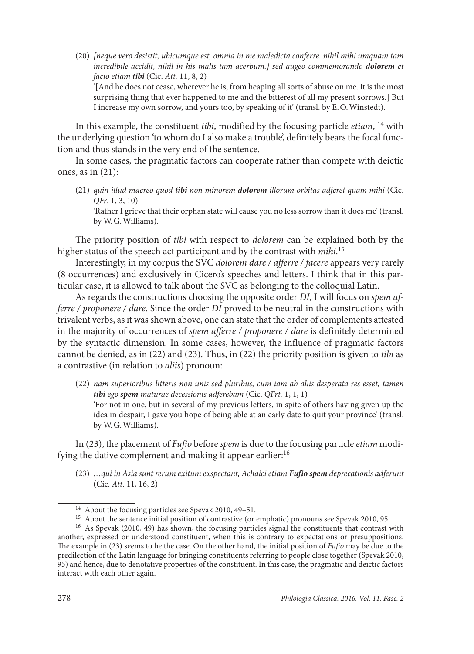(20) *[neque vero desistit, ubicumque est, omnia in me maledicta conferre. nihil mihi umquam tam incredibile accidit, nihil in his malis tam acerbum.] sed augeo commemorando dolorem et facio etiam tibi* (Cic. *Att.* 11, 8, 2)

'[And he does not cease, wherever he is, from heaping all sorts of abuse on me. It is the most surprising thing that ever happened to me and the bitterest of all my present sorrows.] But I increase my own sorrow, and yours too, by speaking of it' (transl. by E.O.Winstedt).

In this example, the constituent *tibi*, modified by the focusing particle *etiam*, 14 with the underlying question 'to whom do I also make a trouble', definitely bears the focal function and thus stands in the very end of the sentence.

In some cases, the pragmatic factors can cooperate rather than compete with deictic ones, as in (21):

(21) *quin illud maereo quod tibi non minorem dolorem illorum orbitas adferet quam mihi* (Cic. *QFr*. 1, 3, 10)

'Rather I grieve that their orphan state will cause you no less sorrow than it does me' (transl. by W.G.Williams).

The priority position of *tibi* with respect to *dolorem* can be explained both by the higher status of the speech act participant and by the contrast with *mihi*. 15

Interestingly, in my corpus the SVC *dolorem dare / afferre / facere* appears very rarely (8 occurrences) and exclusively in Cicero's speeches and letters. I think that in this particular case, it is allowed to talk about the SVC as belonging to the colloquial Latin.

As regards the constructions choosing the opposite order *DI*, I will focus on *spem afferre / proponere / dare*. Since the order *DI* proved to be neutral in the constructions with trivalent verbs, as it was shown above, one can state that the order of complements attested in the majority of occurrences of *spem afferre / proponere / dare* is definitely determined by the syntactic dimension. In some cases, however, the influence of pragmatic factors cannot be denied, as in (22) and (23). Thus, in (22) the priority position is given to *tibi* as a contrastive (in relation to *aliis*) pronoun:

(22) *nam superioribus litteris non unis sed pluribus, cum iam ab aliis desperata res esset, tamen tibi ego spem maturae decessionis adferebam* (Cic. *QFrt.* 1, 1, 1) 'For not in one, but in several of my previous letters, in spite of others having given up the idea in despair, I gave you hope of being able at an early date to quit your province' (transl. by W.G.Williams).

In (23), the placement of *Fufio* before *spem* is due to the focusing particle *etiam* modifying the dative complement and making it appear earlier:<sup>16</sup>

(23) *…qui in Asia sunt rerum exitum exspectant, Achaici etiam Fufio spem deprecationis adferunt*  (Cic. *Att*. 11, 16, 2)

<sup>&</sup>lt;sup>14</sup> About the focusing particles see Spevak 2010, 49–51.<br><sup>15</sup> About the sentence initial position of contrastive (or emphatic) pronouns see Spevak 2010, 95.<br><sup>16</sup> As Spevak (2010, 49) has shown, the focusing particles sig

another, expressed or understood constituent, when this is contrary to expectations or presuppositions. The example in (23) seems to be the case. On the other hand, the initial position of *Fufio* may be due to the predilection of the Latin language for bringing constituents referring to people close together (Spevak 2010, 95) and hence, due to denotative properties of the constituent. In this case, the pragmatic and deictic factors interact with each other again.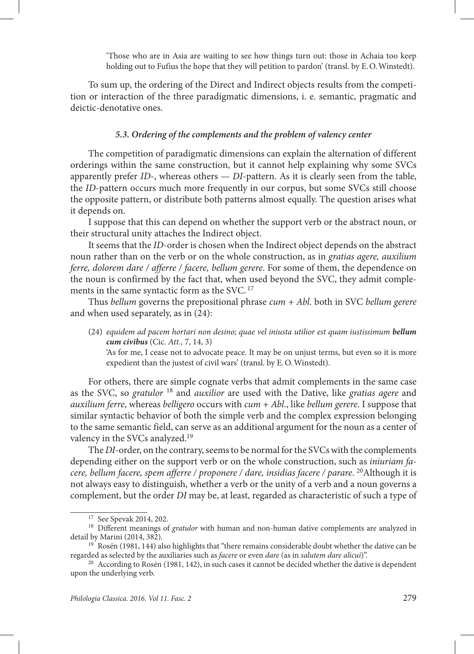'Those who are in Asia are waiting to see how things turn out: those in Achaia too keep holding out to Fufius the hope that they will petition to pardon' (transl. by E.O.Winstedt).

To sum up, the ordering of the Direct and Indirect objects results from the competition or interaction of the three paradigmatic dimensions, i. e. semantic, pragmatic and deictic-denotative ones.

### *5.3. Ordering of the complements and the problem of valency center*

The competition of paradigmatic dimensions can explain the alternation of different orderings within the same construction, but it cannot help explaining why some SVCs apparently prefer *ID*-, whereas others — *DI*-pattern. As it is clearly seen from the table, the *ID*-pattern occurs much more frequently in our corpus, but some SVCs still choose the opposite pattern, or distribute both patterns almost equally. The question arises what it depends on.

I suppose that this can depend on whether the support verb or the abstract noun, or their structural unity attaches the Indirect object.

It seems that the *ID*-order is chosen when the Indirect object depends on the abstract noun rather than on the verb or on the whole construction, as in *gratias agere, auxilium ferre, dolorem dare / afferre / facere, bellum gerere*. For some of them, the dependence on the noun is confirmed by the fact that, when used beyond the SVC, they admit complements in the same syntactic form as the SVC. <sup>17</sup>

Thus *bellum* governs the prepositional phrase *cum + Abl.* both in SVC *bellum gerere* and when used separately, as in (24):

(24) *equidem ad pacem hortari non desino; quae vel iniusta utilior est quam iustissimum bellum cum civibus* (Cic. *Att.,* 7, 14, 3)

'As for me, I cease not to advocate peace. It may be on unjust terms, but even so it is more expedient than the justest of civil wars' (transl. by E.O.Winstedt).

For others, there are simple cognate verbs that admit complements in the same case as the SVC, so *gratulor* 18 and *auxilior* are used with the Dative, like *gratias agere* and *auxilium ferre*, whereas *belligero* occurs with *cum + Abl*., like *bellum gerere*. I suppose that similar syntactic behavior of both the simple verb and the complex expression belonging to the same semantic field, can serve as an additional argument for the noun as a center of valency in the SVCs analyzed.<sup>19</sup>

The *DI*-order, on the contrary, seems to be normal for the SVCs with the complements depending either on the support verb or on the whole construction, such as *iniuriam facere, bellum facere, spem afferre / proponere / dare, insidias facere / parare.* <sup>20</sup>Although it is not always easy to distinguish, whether a verb or the unity of a verb and a noun governs a complement, but the order *DI* may be, at least, regarded as characteristic of such a type of

<sup>17</sup> See Spevak 2014, 202.

<sup>&</sup>lt;sup>18</sup> Different meanings of *gratulor* with human and non-human dative complements are analyzed in detail by Marini (2014, 382).

<sup>&</sup>lt;sup>19</sup> Rosén (1981, 144) also highlights that "there remains considerable doubt whether the dative can be regarded as selected by the auxiliaries such as *facere* or even *dare* (as in *salutem dare alicui*)".

<sup>&</sup>lt;sup>20</sup> According to Rosén (1981, 142), in such cases it cannot be decided whether the dative is dependent upon the underlying verb.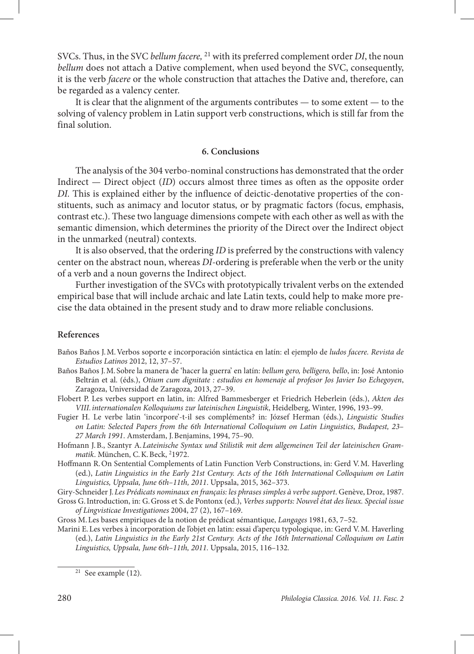SVCs. Thus, in the SVC *bellum facere,* <sup>21</sup> with its preferred complement order *DI*, the noun *bellum* does not attach a Dative complement, when used beyond the SVC, consequently, it is the verb *facere* or the whole construction that attaches the Dative and, therefore, can be regarded as a valency center.

It is clear that the alignment of the arguments contributes — to some extent — to the solving of valency problem in Latin support verb constructions, which is still far from the final solution.

### **6. Conclusions**

The analysis of the 304 verbo-nominal constructions has demonstrated that the order Indirect — Direct object (*ID*) occurs almost three times as often as the opposite order *DI.* This is explained either by the influence of deictic-denotative properties of the constituents, such as animacy and locutor status, or by pragmatic factors (focus, emphasis, contrast etc.). These two language dimensions compete with each other as well as with the semantic dimension, which determines the priority of the Direct over the Indirect object in the unmarked (neutral) contexts.

It is also observed, that the ordering *ID* is preferred by the constructions with valency center on the abstract noun, whereas *DI*-ordering is preferable when the verb or the unity of a verb and a noun governs the Indirect object.

Further investigation of the SVCs with prototypically trivalent verbs on the extended empirical base that will include archaic and late Latin texts, could help to make more precise the data obtained in the present study and to draw more reliable conclusions.

### **References**

- Baños Baños J.M.Verbos soporte e incorporación sintáctica en latín: el ejemplo de *ludos facere. Revista de Estudios Latinos* 2012, 12, 37–57.
- Baños Baños J.M. Sobre la manera de 'hacer la guerra' en latín: *bellum gero, belligero, bello*, in: José Antonio Beltrán et al. (éds.), *Otium cum dignitate : estudios en homenaje al profesor Jos Javier Iso Echegoyen*, Zaragoza, Universidad de Zaragoza, 2013, 27–39.
- Flobert P. Les verbes support en latin, in: Alfred Bammesberger et Friedrich Heberlein (éds.), *Akten des VIII.internationalen Kolloquiums zur lateinischen Linguistik*, Heidelberg, Winter, 1996, 193–99.
- Fugier H. Le verbe latin 'incorpore'-t-il ses compléments? in: József Herman (éds.), *Linguistic Studies on Latin: Selected Papers from the 6th International Colloquium on Latin Linguistics*, *Budapest, 23– 27 March 1991*. Amsterdam, J.Benjamins, 1994, 75–90.
- Hofmann J.B., Szantyr A.*Lateinische Syntax und Stilistik mit dem allgemeinen Teil der lateinischen Grammatik*. München, C.K.Beck, 2 1972.
- Hoffmann R.On Sentential Complements of Latin Function Verb Constructions, in: Gerd V.M. Haverling (ed.), *Latin Linguistics in the Early 21st Century. Acts of the 16th International Colloquium on Latin Linguistics, Uppsala, June 6th–11th, 2011*. Uppsala, 2015, 362–373.
- Giry-Schneider J.*Les Prédicats nominaux en français: les phrases simples à verbe support*. Genève, Droz, 1987.
- Gross G.Introduction, in: G.Gross et S.de Pontonx (ed.), *Verbes supports: Nouvel état des lieux. Special issue of Lingvisticae Investigationes* 2004, 27 (2), 167–169.
- Gross M.Les bases empiriques de la notion de prédicat sémantique, *Langages* 1981, 63, 7–52.
- Marini E.Les verbes à incorporation de l'objet en latin: essai d'aperçu typologique, in: Gerd V.M. Haverling (ed.), *Latin Linguistics in the Early 21st Century. Acts of the 16th International Colloquium on Latin Linguistics, Uppsala, June 6th–11th, 2011.* Uppsala, 2015, 116–132*.*

 $21$  See example (12).